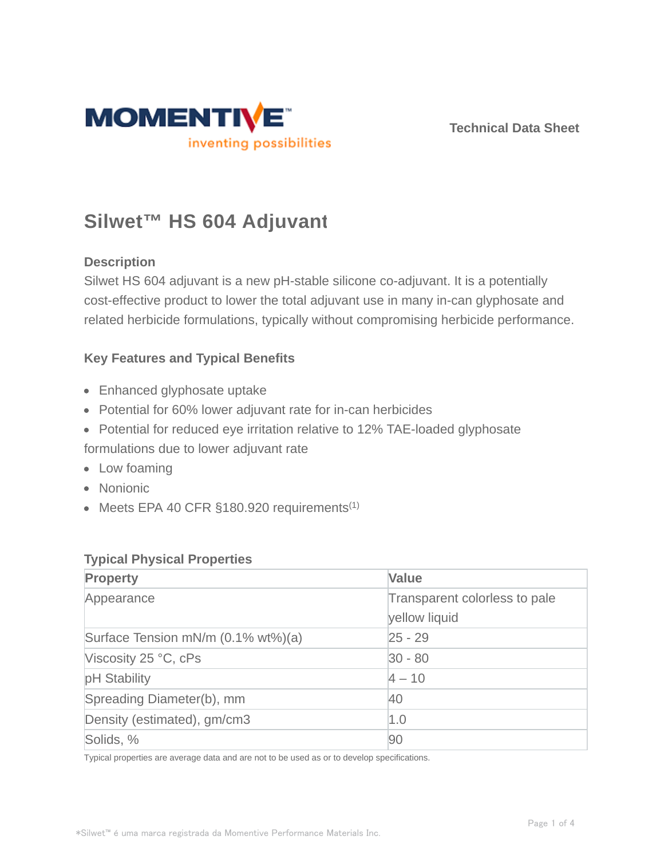

**Technical Data Sheet**

# **Silwet™ HS 604 Adjuvant**

### **Description**

Silwet HS 604 adjuvant is a new pH-stable silicone co-adjuvant. It is a potentially cost-effective product to lower the total adjuvant use in many in-can glyphosate and related herbicide formulations, typically without compromising herbicide performance.

#### **Key Features and Typical Benefits**

- Enhanced glyphosate uptake
- Potential for 60% lower adjuvant rate for in-can herbicides
- Potential for reduced eye irritation relative to 12% TAE-loaded glyphosate

formulations due to lower adjuvant rate

- Low foaming
- Nonionic
- $\bullet$  Meets EPA 40 CFR §180.920 requirements<sup>(1)</sup>

#### **Typical Physical Properties**

| Property                           | <b>Value</b>                  |  |
|------------------------------------|-------------------------------|--|
| Appearance                         | Transparent colorless to pale |  |
|                                    | yellow liquid                 |  |
| Surface Tension mN/m (0.1% wt%)(a) | $25 - 29$                     |  |
| Viscosity 25 °C, cPs               | $ 30 - 80 $                   |  |
| pH Stability                       | $4 - 10$                      |  |
| Spreading Diameter(b), mm          | 40                            |  |
| Density (estimated), gm/cm3        | 1.0                           |  |
| Solids, %                          | 90                            |  |

Typical properties are average data and are not to be used as or to develop specifications.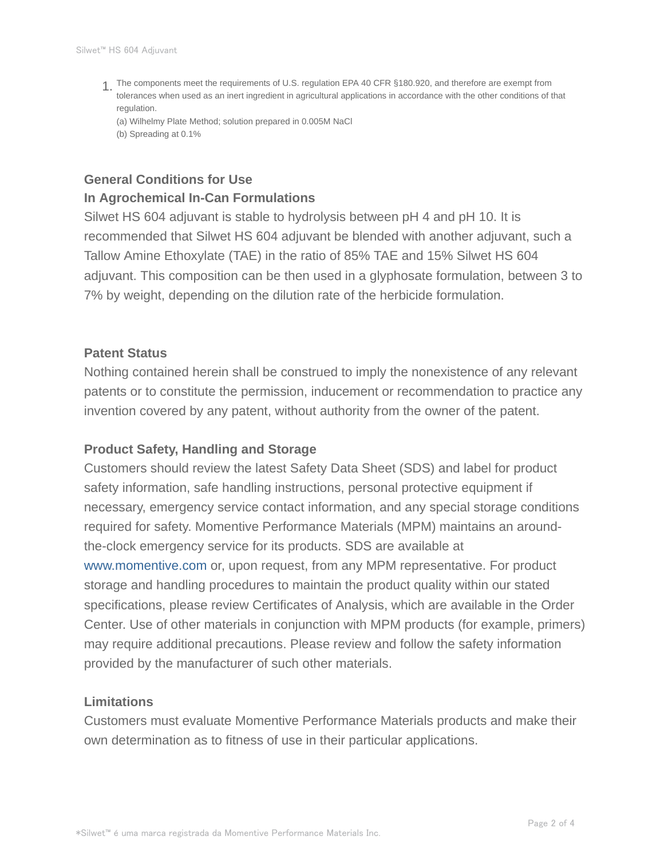The components meet the requirements of U.S. regulation EPA 40 CFR §180.920, and therefore are exempt from 1. tolerances when used as an inert ingredient in agricultural applications in accordance with the other conditions of that regulation.

(a) Wilhelmy Plate Method; solution prepared in 0.005M NaCl (b) Spreading at 0.1%

### **General Conditions for Use In Agrochemical In-Can Formulations**

Silwet HS 604 adjuvant is stable to hydrolysis between pH 4 and pH 10. It is recommended that Silwet HS 604 adjuvant be blended with another adjuvant, such a Tallow Amine Ethoxylate (TAE) in the ratio of 85% TAE and 15% Silwet HS 604 adjuvant. This composition can be then used in a glyphosate formulation, between 3 to 7% by weight, depending on the dilution rate of the herbicide formulation.

#### **Patent Status**

Nothing contained herein shall be construed to imply the nonexistence of any relevant patents or to constitute the permission, inducement or recommendation to practice any invention covered by any patent, without authority from the owner of the patent.

#### **Product Safety, Handling and Storage**

Customers should review the latest Safety Data Sheet (SDS) and label for product safety information, safe handling instructions, personal protective equipment if necessary, emergency service contact information, and any special storage conditions required for safety. Momentive Performance Materials (MPM) maintains an aroundthe-clock emergency service for its products. SDS are available at www.momentive.com or, upon request, from any MPM representative. For product storage and handling procedures to maintain the product quality within our stated specifications, please review Certificates of Analysis, which are available in the Order Center. Use of other materials in conjunction with MPM products (for example, primers) may require additional precautions. Please review and follow the safety information provided by the manufacturer of such other materials.

#### **Limitations**

Customers must evaluate Momentive Performance Materials products and make their own determination as to fitness of use in their particular applications.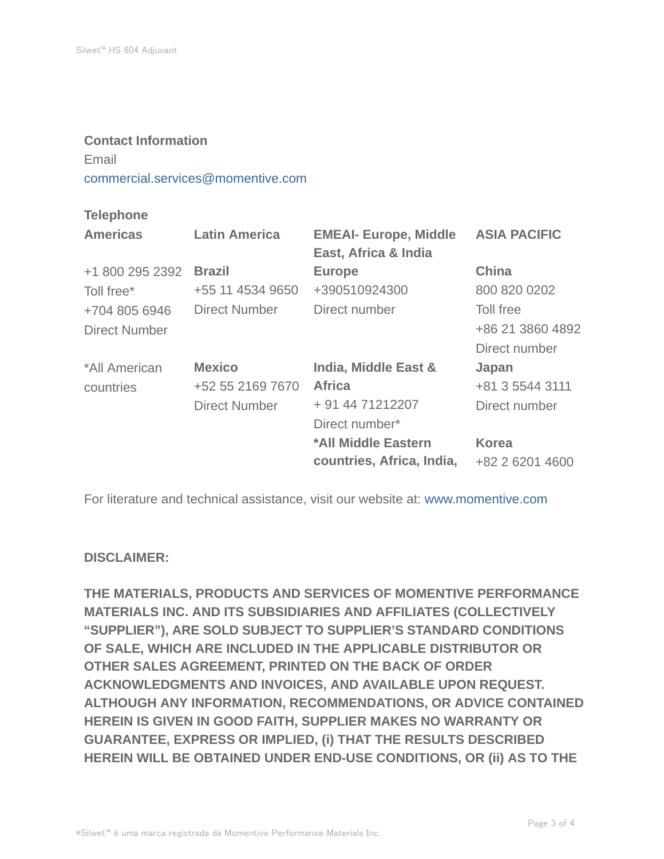#### **Contact Information**

## Email

commercial.services@momentive.com

#### **Telephone**

| <b>Americas</b> | <b>Latin America</b> | <b>EMEAI- Europe, Middle</b><br>East, Africa & India | <b>ASIA PACIFIC</b> |
|-----------------|----------------------|------------------------------------------------------|---------------------|
| +1 800 295 2392 | <b>Brazil</b>        | <b>Europe</b>                                        | <b>China</b>        |
| Toll free*      | +55 11 4534 9650     | +390510924300                                        | 800 820 0202        |
| +704 805 6946   | Direct Number        | Direct number                                        | Toll free           |
| Direct Number   |                      |                                                      | +86 21 3860 4892    |
|                 |                      |                                                      | Direct number       |
| *All American   | <b>Mexico</b>        | India, Middle East &                                 | Japan               |
| countries       | +52 55 2169 7670     | <b>Africa</b>                                        | +81 3 5544 3111     |
|                 | <b>Direct Number</b> | + 91 44 71212207                                     | Direct number       |
|                 |                      | Direct number*                                       |                     |
|                 |                      | *All Middle Eastern                                  | <b>Korea</b>        |
|                 |                      | countries, Africa, India,                            | +82 2 6201 4600     |

For literature and technical assistance, visit our website at: www.momentive.com

#### **DISCLAIMER:**

**THE MATERIALS, PRODUCTS AND SERVICES OF MOMENTIVE PERFORMANCE MATERIALS INC. AND ITS SUBSIDIARIES AND AFFILIATES (COLLECTIVELY "SUPPLIER"), ARE SOLD SUBJECT TO SUPPLIER'S STANDARD CONDITIONS OF SALE, WHICH ARE INCLUDED IN THE APPLICABLE DISTRIBUTOR OR OTHER SALES AGREEMENT, PRINTED ON THE BACK OF ORDER ACKNOWLEDGMENTS AND INVOICES, AND AVAILABLE UPON REQUEST. ALTHOUGH ANY INFORMATION, RECOMMENDATIONS, OR ADVICE CONTAINED HEREIN IS GIVEN IN GOOD FAITH, SUPPLIER MAKES NO WARRANTY OR GUARANTEE, EXPRESS OR IMPLIED, (i) THAT THE RESULTS DESCRIBED HEREIN WILL BE OBTAINED UNDER END-USE CONDITIONS, OR (ii) AS TO THE**